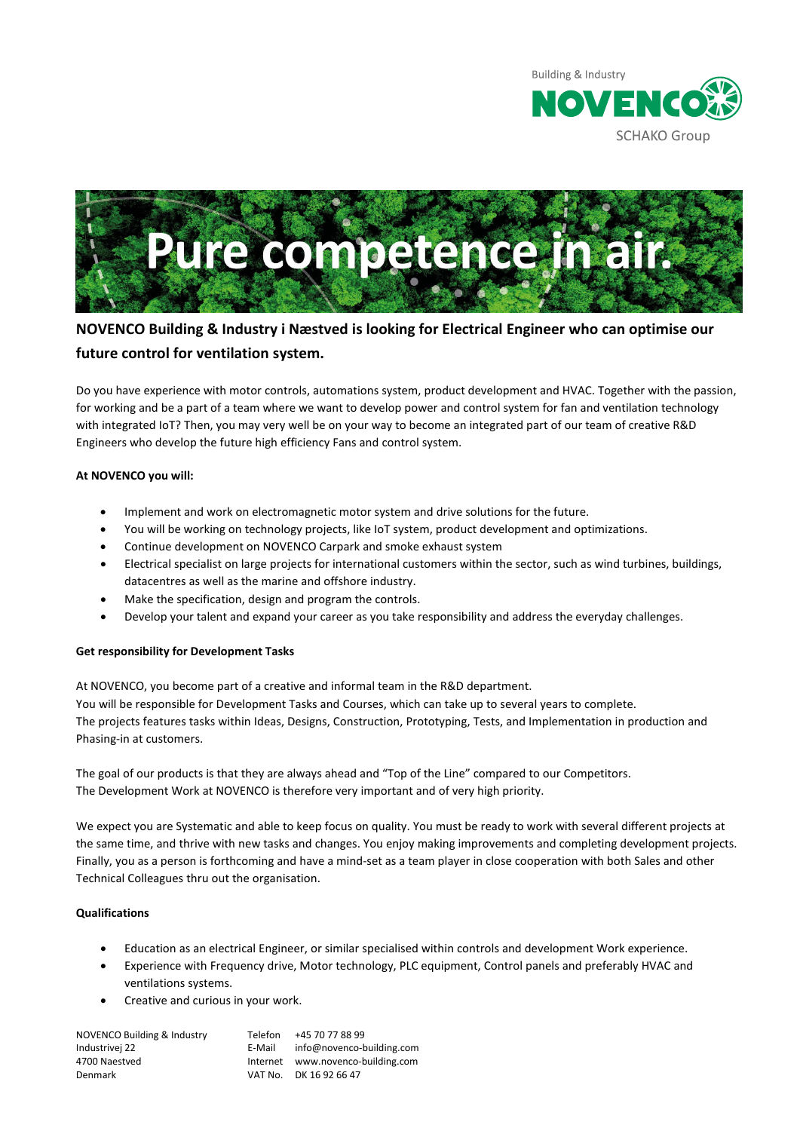



# **NOVENCO Building & Industry i Næstved is looking for Electrical Engineer who can optimise our future control for ventilation system.**

Do you have experience with motor controls, automations system, product development and HVAC. Together with the passion, for working and be a part of a team where we want to develop power and control system for fan and ventilation technology with integrated IoT? Then, you may very well be on your way to become an integrated part of our team of creative R&D Engineers who develop the future high efficiency Fans and control system.

## **At NOVENCO you will:**

- Implement and work on electromagnetic motor system and drive solutions for the future.
- You will be working on technology projects, like IoT system, product development and optimizations.
- Continue development on NOVENCO Carpark and smoke exhaust system
- Electrical specialist on large projects for international customers within the sector, such as wind turbines, buildings, datacentres as well as the marine and offshore industry.
- Make the specification, design and program the controls.
- Develop your talent and expand your career as you take responsibility and address the everyday challenges.

## **Get responsibility for Development Tasks**

At NOVENCO, you become part of a creative and informal team in the R&D department. You will be responsible for Development Tasks and Courses, which can take up to several years to complete. The projects features tasks within Ideas, Designs, Construction, Prototyping, Tests, and Implementation in production and Phasing-in at customers.

The goal of our products is that they are always ahead and "Top of the Line" compared to our Competitors. The Development Work at NOVENCO is therefore very important and of very high priority.

We expect you are Systematic and able to keep focus on quality. You must be ready to work with several different projects at the same time, and thrive with new tasks and changes. You enjoy making improvements and completing development projects. Finally, you as a person is forthcoming and have a mind-set as a team player in close cooperation with both Sales and other Technical Colleagues thru out the organisation.

## **Qualifications**

- Education as an electrical Engineer, or similar specialised within controls and development Work experience.
- Experience with Frequency drive, Motor technology, PLC equipment, Control panels and preferably HVAC and ventilations systems.
- Creative and curious in your work.

| NOVENCO Building & Industry<br>Telefon<br>Industrivej 22<br>E-Mail | +45 70 77 88 99<br>info@novenco-building.com |
|--------------------------------------------------------------------|----------------------------------------------|
| 4700 Naestved                                                      | Internet www.novenco-building.com            |
| Denmark                                                            | VAT No. DK 16 92 66 47                       |